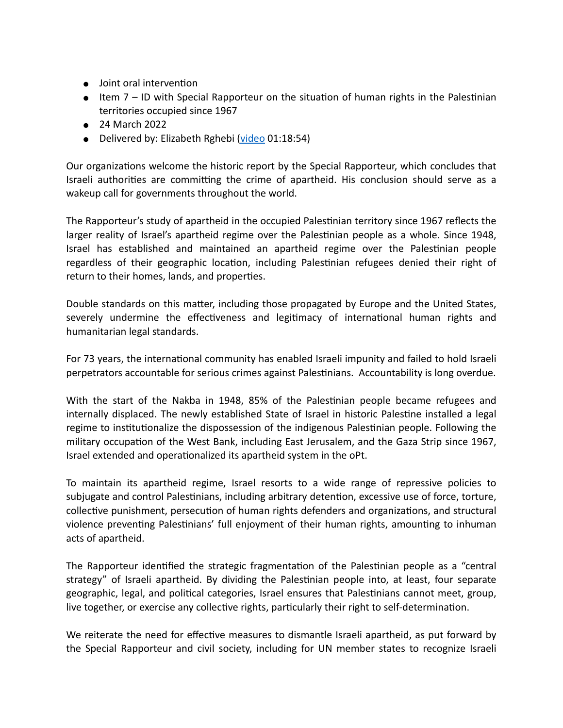- Joint oral intervention
- Item 7 ID with Special Rapporteur on the situation of human rights in the Palestinian territories occupied since 1967
- 24 March 2022
- Delivered by: Elizabeth Rghebi ([video](https://media.un.org/en/asset/k1j/k1j922s1le) 01:18:54)

Our organizations welcome the historic report by the Special Rapporteur, which concludes that Israeli authorities are committing the crime of apartheid. His conclusion should serve as a wakeup call for governments throughout the world.

The Rapporteur's study of apartheid in the occupied Palestinian territory since 1967 reflects the larger reality of Israel's apartheid regime over the Palestinian people as a whole. Since 1948, Israel has established and maintained an apartheid regime over the Palestinian people regardless of their geographic location, including Palestinian refugees denied their right of return to their homes, lands, and properties.

Double standards on this matter, including those propagated by Europe and the United States, severely undermine the effectiveness and legitimacy of international human rights and humanitarian legal standards.

For 73 years, the international community has enabled Israeli impunity and failed to hold Israeli perpetrators accountable for serious crimes against Palestinians. Accountability is long overdue.

With the start of the Nakba in 1948, 85% of the Palestinian people became refugees and internally displaced. The newly established State of Israel in historic Palestine installed a legal regime to institutionalize the dispossession of the indigenous Palestinian people. Following the military occupation of the West Bank, including East Jerusalem, and the Gaza Strip since 1967, Israel extended and operationalized its apartheid system in the oPt.

To maintain its apartheid regime, Israel resorts to a wide range of repressive policies to subjugate and control Palestinians, including arbitrary detention, excessive use of force, torture, collective punishment, persecution of human rights defenders and organizations, and structural violence preventing Palestinians' full enjoyment of their human rights, amounting to inhuman acts of apartheid.

The Rapporteur identified the strategic fragmentation of the Palestinian people as a "central strategy" of Israeli apartheid. By dividing the Palestinian people into, at least, four separate geographic, legal, and political categories, Israel ensures that Palestinians cannot meet, group, live together, or exercise any collective rights, particularly their right to self-determination.

We reiterate the need for effective measures to dismantle Israeli apartheid, as put forward by the Special Rapporteur and civil society, including for UN member states to recognize Israeli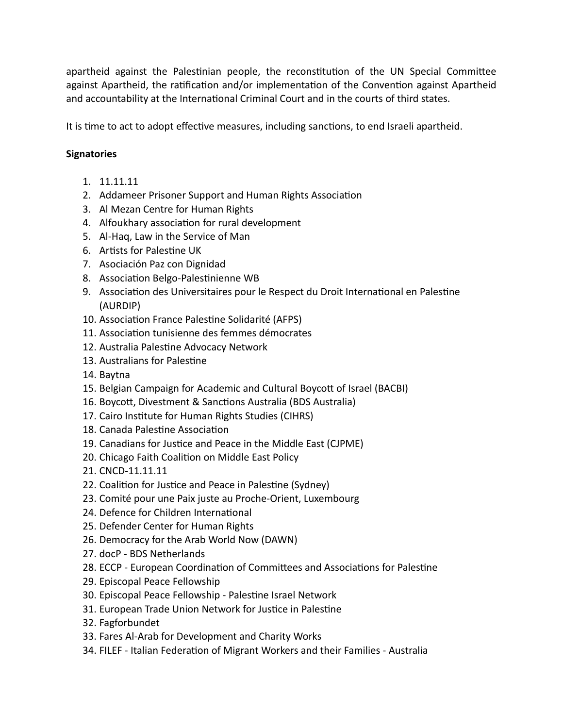apartheid against the Palestinian people, the reconstitution of the UN Special Committee against Apartheid, the ratification and/or implementation of the Convention against Apartheid and accountability at the International Criminal Court and in the courts of third states.

It is time to act to adopt effective measures, including sanctions, to end Israeli apartheid.

## **Signatories**

- 1. 11.11.11
- 2. Addameer Prisoner Support and Human Rights Association
- 3. Al Mezan Centre for Human Rights
- 4. Alfoukhary association for rural development
- 5. Al-Haq, Law in the Service of Man
- 6. Artists for Palestine UK
- 7. Asociación Paz con Dignidad
- 8. Association Belgo-Palestinienne WB
- 9. Association des Universitaires pour le Respect du Droit International en Palestine (AURDIP)
- 10. Association France Palestine Solidarité (AFPS)
- 11. Association tunisienne des femmes démocrates
- 12. Australia Palestine Advocacy Network
- 13. Australians for Palestine
- 14. Baytna
- 15. Belgian Campaign for Academic and Cultural Boycott of Israel (BACBI)
- 16. Boycott, Divestment & Sanctions Australia (BDS Australia)
- 17. Cairo Institute for Human Rights Studies (CIHRS)
- 18. Canada Palestine Association
- 19. Canadians for Justice and Peace in the Middle East (CJPME)
- 20. Chicago Faith Coalition on Middle East Policy
- 21. CNCD-11.11.11
- 22. Coalition for Justice and Peace in Palestine (Sydney)
- 23. Comité pour une Paix juste au Proche-Orient, Luxembourg
- 24. Defence for Children International
- 25. Defender Center for Human Rights
- 26. Democracy for the Arab World Now (DAWN)
- 27. docP BDS Netherlands
- 28. ECCP European Coordination of Committees and Associations for Palestine
- 29. Episcopal Peace Fellowship
- 30. Episcopal Peace Fellowship Palestine Israel Network
- 31. European Trade Union Network for Justice in Palestine
- 32. Fagforbundet
- 33. Fares Al-Arab for Development and Charity Works
- 34. FILEF Italian Federation of Migrant Workers and their Families Australia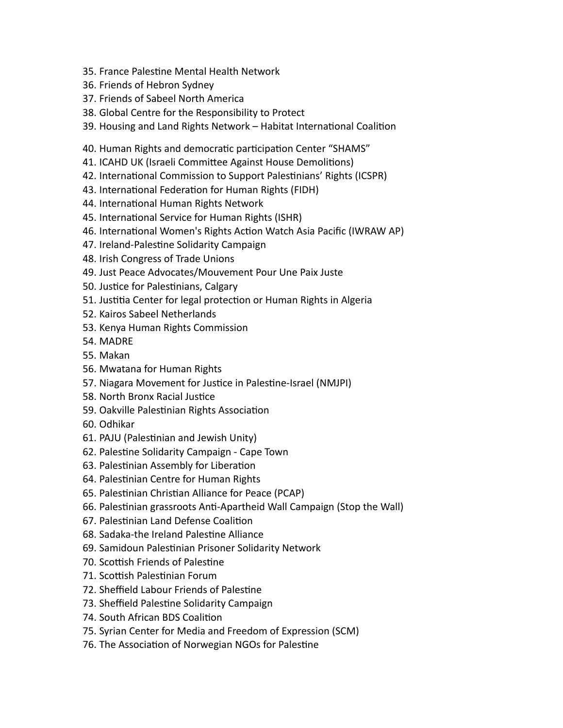- 35. France Palestine Mental Health Network
- 36. Friends of Hebron Sydney
- 37. Friends of Sabeel North America
- 38. Global Centre for the Responsibility to Protect
- 39. Housing and Land Rights Network Habitat International Coalition
- 40. Human Rights and democratic participation Center "SHAMS"
- 41. ICAHD UK (Israeli Committee Against House Demolitions)
- 42. International Commission to Support Palestinians' Rights (ICSPR)
- 43. International Federation for Human Rights (FIDH)
- 44. International Human Rights Network
- 45. International Service for Human Rights (ISHR)
- 46. International Women's Rights Action Watch Asia Pacific (IWRAW AP)
- 47. Ireland-Palestine Solidarity Campaign
- 48. Irish Congress of Trade Unions
- 49. Just Peace Advocates/Mouvement Pour Une Paix Juste
- 50. Justice for Palestinians, Calgary
- 51. Justitia Center for legal protection or Human Rights in Algeria
- 52. Kairos Sabeel Netherlands
- 53. Kenya Human Rights Commission
- 54. MADRE
- 55. Makan
- 56. Mwatana for Human Rights
- 57. Niagara Movement for Justice in Palestine-Israel (NMJPI)
- 58. North Bronx Racial Justice
- 59. Oakville Palestinian Rights Association
- 60. Odhikar
- 61. PAJU (Palestinian and Jewish Unity)
- 62. Palestine Solidarity Campaign Cape Town
- 63. Palestinian Assembly for Liberation
- 64. Palestinian Centre for Human Rights
- 65. Palestinian Christian Alliance for Peace (PCAP)
- 66. Palestinian grassroots Anti-Apartheid Wall Campaign (Stop the Wall)
- 67. Palestinian Land Defense Coalition
- 68. Sadaka-the Ireland Palestine Alliance
- 69. Samidoun Palestinian Prisoner Solidarity Network
- 70. Scottish Friends of Palestine
- 71. Scottish Palestinian Forum
- 72. Sheffield Labour Friends of Palestine
- 73. Sheffield Palestine Solidarity Campaign
- 74. South African BDS Coalition
- 75. Syrian Center for Media and Freedom of Expression (SCM)
- 76. The Association of Norwegian NGOs for Palestine